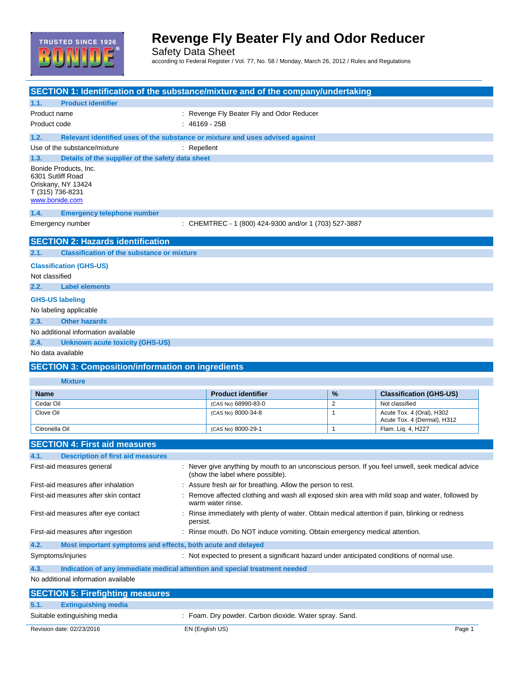

Safety Data Sheet according to Federal Register / Vol. 77, No. 58 / Monday, March 26, 2012 / Rules and Regulations

| SECTION 1: Identification of the substance/mixture and of the company/undertaking     |                                                                                                                    |                |                                                          |  |
|---------------------------------------------------------------------------------------|--------------------------------------------------------------------------------------------------------------------|----------------|----------------------------------------------------------|--|
| <b>Product identifier</b><br>1.1.                                                     |                                                                                                                    |                |                                                          |  |
| Product name                                                                          | : Revenge Fly Beater Fly and Odor Reducer                                                                          |                |                                                          |  |
| Product code                                                                          | $: 46169 - 25B$                                                                                                    |                |                                                          |  |
| 1.2.<br>Relevant identified uses of the substance or mixture and uses advised against |                                                                                                                    |                |                                                          |  |
| Use of the substance/mixture                                                          | $:$ Repellent                                                                                                      |                |                                                          |  |
| 1.3.<br>Details of the supplier of the safety data sheet                              |                                                                                                                    |                |                                                          |  |
| Bonide Products, Inc.                                                                 |                                                                                                                    |                |                                                          |  |
| 6301 Sutliff Road                                                                     |                                                                                                                    |                |                                                          |  |
| Oriskany, NY 13424<br>T (315) 736-8231                                                |                                                                                                                    |                |                                                          |  |
| www.bonide.com                                                                        |                                                                                                                    |                |                                                          |  |
| 1.4.<br><b>Emergency telephone number</b>                                             |                                                                                                                    |                |                                                          |  |
| Emergency number                                                                      | : CHEMTREC - 1 (800) 424-9300 and/or 1 (703) 527-3887                                                              |                |                                                          |  |
|                                                                                       |                                                                                                                    |                |                                                          |  |
| <b>SECTION 2: Hazards identification</b>                                              |                                                                                                                    |                |                                                          |  |
| <b>Classification of the substance or mixture</b><br>2.1.                             |                                                                                                                    |                |                                                          |  |
| <b>Classification (GHS-US)</b>                                                        |                                                                                                                    |                |                                                          |  |
| Not classified                                                                        |                                                                                                                    |                |                                                          |  |
| 2.2.<br><b>Label elements</b>                                                         |                                                                                                                    |                |                                                          |  |
|                                                                                       |                                                                                                                    |                |                                                          |  |
| <b>GHS-US labeling</b>                                                                |                                                                                                                    |                |                                                          |  |
| No labeling applicable                                                                |                                                                                                                    |                |                                                          |  |
| <b>Other hazards</b><br>2.3.                                                          |                                                                                                                    |                |                                                          |  |
| No additional information available                                                   |                                                                                                                    |                |                                                          |  |
| 2.4.                                                                                  |                                                                                                                    |                |                                                          |  |
| <b>Unknown acute toxicity (GHS-US)</b>                                                |                                                                                                                    |                |                                                          |  |
| No data available                                                                     |                                                                                                                    |                |                                                          |  |
| <b>SECTION 3: Composition/information on ingredients</b>                              |                                                                                                                    |                |                                                          |  |
|                                                                                       |                                                                                                                    |                |                                                          |  |
| <b>Mixture</b>                                                                        |                                                                                                                    |                |                                                          |  |
| <b>Name</b>                                                                           | <b>Product identifier</b>                                                                                          | %              | <b>Classification (GHS-US)</b>                           |  |
| Cedar Oil                                                                             | (CAS No) 68990-83-0                                                                                                | $\overline{2}$ | Not classified                                           |  |
| Clove Oil                                                                             | (CAS No) 8000-34-8                                                                                                 | $\mathbf{1}$   | Acute Tox. 4 (Oral), H302<br>Acute Tox. 4 (Dermal), H312 |  |
| Citronella Oil                                                                        | (CAS No) 8000-29-1                                                                                                 | $\mathbf{1}$   | Flam. Liq. 4, H227                                       |  |
|                                                                                       |                                                                                                                    |                |                                                          |  |
| <b>SECTION 4: First aid measures</b>                                                  |                                                                                                                    |                |                                                          |  |
| 4.1.<br><b>Description of first aid measures</b>                                      |                                                                                                                    |                |                                                          |  |
| First-aid measures general                                                            | : Never give anything by mouth to an unconscious person. If you feel unwell, seek medical advice                   |                |                                                          |  |
| First-aid measures after inhalation                                                   | (show the label where possible).                                                                                   |                |                                                          |  |
|                                                                                       | : Assure fresh air for breathing. Allow the person to rest.                                                        |                |                                                          |  |
| First-aid measures after skin contact                                                 | Remove affected clothing and wash all exposed skin area with mild soap and water, followed by<br>warm water rinse. |                |                                                          |  |
| First-aid measures after eye contact                                                  | : Rinse immediately with plenty of water. Obtain medical attention if pain, blinking or redness                    |                |                                                          |  |
|                                                                                       | persist.                                                                                                           |                |                                                          |  |
| First-aid measures after ingestion                                                    | : Rinse mouth. Do NOT induce vomiting. Obtain emergency medical attention.                                         |                |                                                          |  |
| 4.2.<br>Most important symptoms and effects, both acute and delayed                   |                                                                                                                    |                |                                                          |  |
| Symptoms/injuries                                                                     | : Not expected to present a significant hazard under anticipated conditions of normal use.                         |                |                                                          |  |
|                                                                                       |                                                                                                                    |                |                                                          |  |
| 4.3.<br>Indication of any immediate medical attention and special treatment needed    |                                                                                                                    |                |                                                          |  |
| No additional information available                                                   |                                                                                                                    |                |                                                          |  |
| <b>SECTION 5: Firefighting measures</b><br><b>Extinguishing media</b><br>5.1.         |                                                                                                                    |                |                                                          |  |

### Revision date: 02/23/2016 **EN (English US)** EN Contract to the Contract of the Page 1 Suitable extinguishing media : Foam. Dry powder. Carbon dioxide. Water spray. Sand.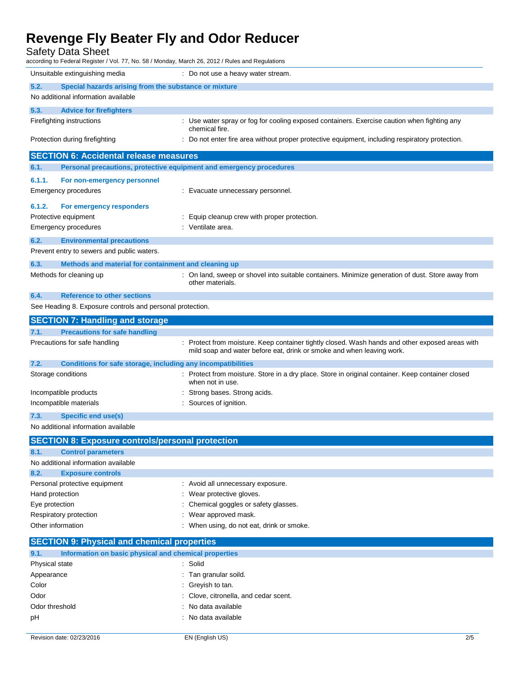Safety Data Sheet

| Safety Data Sheet<br>according to Federal Register / Vol. 77, No. 58 / Monday, March 26, 2012 / Rules and Regulations |                                                                                                                                                                          |
|-----------------------------------------------------------------------------------------------------------------------|--------------------------------------------------------------------------------------------------------------------------------------------------------------------------|
| Unsuitable extinguishing media                                                                                        | : Do not use a heavy water stream.                                                                                                                                       |
| 5.2.<br>Special hazards arising from the substance or mixture                                                         |                                                                                                                                                                          |
| No additional information available                                                                                   |                                                                                                                                                                          |
| 5.3.<br><b>Advice for firefighters</b>                                                                                |                                                                                                                                                                          |
| Firefighting instructions                                                                                             | : Use water spray or fog for cooling exposed containers. Exercise caution when fighting any<br>chemical fire.                                                            |
| Protection during firefighting                                                                                        | : Do not enter fire area without proper protective equipment, including respiratory protection.                                                                          |
| <b>SECTION 6: Accidental release measures</b>                                                                         |                                                                                                                                                                          |
| Personal precautions, protective equipment and emergency procedures<br>6.1.                                           |                                                                                                                                                                          |
| 6.1.1.<br>For non-emergency personnel                                                                                 |                                                                                                                                                                          |
| <b>Emergency procedures</b>                                                                                           | : Evacuate unnecessary personnel.                                                                                                                                        |
| 6.1.2.<br>For emergency responders                                                                                    |                                                                                                                                                                          |
| Protective equipment                                                                                                  | : Equip cleanup crew with proper protection.                                                                                                                             |
| <b>Emergency procedures</b>                                                                                           | : Ventilate area.                                                                                                                                                        |
| 6.2.<br><b>Environmental precautions</b>                                                                              |                                                                                                                                                                          |
| Prevent entry to sewers and public waters.                                                                            |                                                                                                                                                                          |
| 6.3.<br>Methods and material for containment and cleaning up                                                          |                                                                                                                                                                          |
| Methods for cleaning up                                                                                               | : On land, sweep or shovel into suitable containers. Minimize generation of dust. Store away from<br>other materials.                                                    |
|                                                                                                                       |                                                                                                                                                                          |
| 6.4.<br><b>Reference to other sections</b>                                                                            |                                                                                                                                                                          |
| See Heading 8. Exposure controls and personal protection.                                                             |                                                                                                                                                                          |
| <b>SECTION 7: Handling and storage</b>                                                                                |                                                                                                                                                                          |
| 7.1.<br><b>Precautions for safe handling</b>                                                                          |                                                                                                                                                                          |
| Precautions for safe handling                                                                                         | : Protect from moisture. Keep container tightly closed. Wash hands and other exposed areas with<br>mild soap and water before eat, drink or smoke and when leaving work. |
| Conditions for safe storage, including any incompatibilities<br>7.2.                                                  |                                                                                                                                                                          |
| Storage conditions                                                                                                    | : Protect from moisture. Store in a dry place. Store in original container. Keep container closed<br>when not in use.                                                    |
| Incompatible products                                                                                                 | Strong bases. Strong acids.                                                                                                                                              |
| Incompatible materials                                                                                                | : Sources of ignition.                                                                                                                                                   |
| 7.3.<br><b>Specific end use(s)</b>                                                                                    |                                                                                                                                                                          |
| No additional information available                                                                                   |                                                                                                                                                                          |
| <b>SECTION 8: Exposure controls/personal protection</b>                                                               |                                                                                                                                                                          |
| 8.1.<br><b>Control parameters</b>                                                                                     |                                                                                                                                                                          |
| No additional information available                                                                                   |                                                                                                                                                                          |
| 8.2.<br><b>Exposure controls</b>                                                                                      |                                                                                                                                                                          |

- Hand protection **in the case of the contract of the CO** is wear protective gloves. Eye protection **Exercise Eye protection** : Chemical goggles or safety glasses. Respiratory protection **in the set of the CO** is a Wear approved mask.
- Other information **contracts** on the state of the US of the US of the US of the US of the US of the US of the US of the US of the US of the US of the US of the US of the US of the US of the US of the US of the US of the US

| <b>SECTION 9: Physical and chemical properties</b> |                                                       |     |
|----------------------------------------------------|-------------------------------------------------------|-----|
| 9.1.                                               | Information on basic physical and chemical properties |     |
| Physical state                                     | : Solid                                               |     |
| Appearance                                         | : Tan granular soild.                                 |     |
| Color                                              | : Greyish to tan.                                     |     |
| Odor                                               | : Clove, citronella, and cedar scent.                 |     |
| Odor threshold                                     | : No data available                                   |     |
| pH                                                 | : No data available                                   |     |
|                                                    |                                                       |     |
| Revision date: 02/23/2016                          | EN (English US)                                       | 2/5 |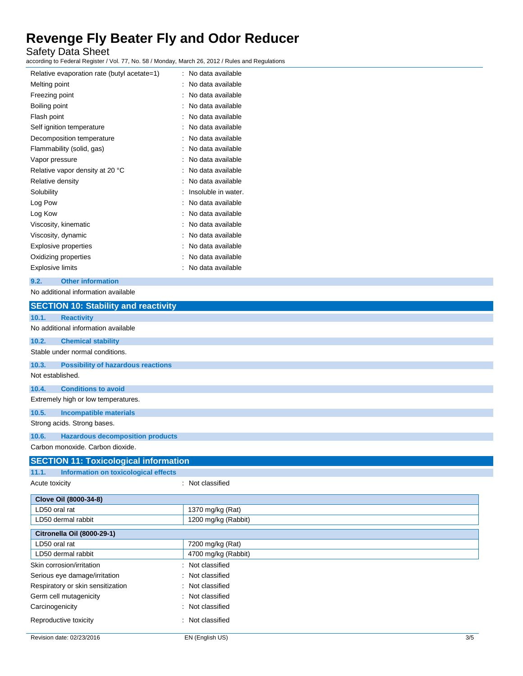Safety Data Sheet

according to Federal Register / Vol. 77, No. 58 / Monday, March 26, 2012 / Rules and Regulations

| Relative evaporation rate (butyl acetate=1) | No data available   |
|---------------------------------------------|---------------------|
| Melting point                               | No data available   |
| Freezing point                              | No data available   |
| Boiling point                               | No data available   |
| Flash point                                 | No data available   |
| Self ignition temperature                   | No data available   |
| Decomposition temperature                   | No data available   |
| Flammability (solid, gas)                   | No data available   |
| Vapor pressure                              | No data available   |
| Relative vapor density at 20 °C             | No data available   |
| Relative density                            | No data available   |
| Solubility                                  | Insoluble in water. |
| Log Pow                                     | No data available   |
| Log Kow                                     | No data available   |
| Viscosity, kinematic                        | No data available   |
| Viscosity, dynamic                          | No data available   |
| Explosive properties                        | No data available   |
| Oxidizing properties                        | No data available   |
| Explosive limits                            | No data available   |

#### **9.2. Other information**

No additional information available

| <b>SECTION 10: Stability and reactivity</b>        |                        |
|----------------------------------------------------|------------------------|
| <b>Reactivity</b><br>10.1.                         |                        |
| No additional information available                |                        |
| 10.2.<br><b>Chemical stability</b>                 |                        |
| Stable under normal conditions.                    |                        |
| 10.3.<br><b>Possibility of hazardous reactions</b> |                        |
| Not established.                                   |                        |
| 10.4.<br><b>Conditions to avoid</b>                |                        |
| Extremely high or low temperatures.                |                        |
| 10.5.<br><b>Incompatible materials</b>             |                        |
| Strong acids. Strong bases.                        |                        |
| 10.6.<br><b>Hazardous decomposition products</b>   |                        |
| Carbon monoxide. Carbon dioxide.                   |                        |
| <b>SECTION 11: Toxicological information</b>       |                        |
| 11.1.<br>Information on toxicological effects      |                        |
| Acute toxicity                                     | : Not classified       |
| Clove Oil (8000-34-8)                              |                        |
| LD50 oral rat                                      | 1370 mg/kg (Rat)       |
| LD50 dermal rabbit                                 | 1200 mg/kg (Rabbit)    |
| <b>Citronella Oil (8000-29-1)</b>                  |                        |
| LD50 oral rat                                      | 7200 mg/kg (Rat)       |
| LD50 dermal rabbit                                 | 4700 mg/kg (Rabbit)    |
| Skin corrosion/irritation                          | Not classified         |
| Serious eye damage/irritation                      | Not classified         |
| Respiratory or skin sensitization                  | Not classified         |
| Germ cell mutagenicity                             | Not classified         |
| Carcinogenicity                                    | Not classified         |
| Reproductive toxicity                              | : Not classified       |
| Revision date: 02/23/2016                          | 3/5<br>EN (English US) |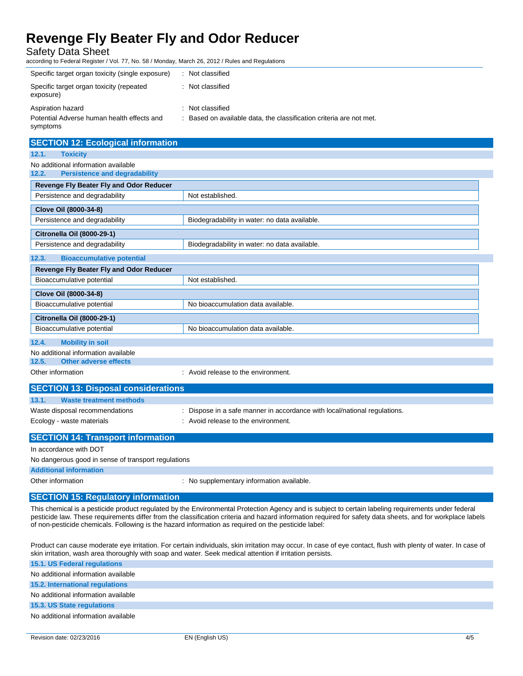Safety Data Sheet

according to Federal Register / Vol. 77, No. 58 / Monday, March 26, 2012 / Rules and Regulations

| Specific target organ toxicity (single exposure)       | : Not classified                                                    |
|--------------------------------------------------------|---------------------------------------------------------------------|
| Specific target organ toxicity (repeated<br>exposure)  | : Not classified                                                    |
| Aspiration hazard                                      | : Not classified                                                    |
| Potential Adverse human health effects and<br>symptoms | : Based on available data, the classification criteria are not met. |

| <b>SECTION 12: Ecological information</b>                                                                                                                                                                                            |                                                                         |
|--------------------------------------------------------------------------------------------------------------------------------------------------------------------------------------------------------------------------------------|-------------------------------------------------------------------------|
| <b>Toxicity</b><br>12.1.                                                                                                                                                                                                             |                                                                         |
| No additional information available                                                                                                                                                                                                  |                                                                         |
| <b>Persistence and degradability</b><br>12.2.                                                                                                                                                                                        |                                                                         |
| Revenge Fly Beater Fly and Odor Reducer                                                                                                                                                                                              |                                                                         |
| Persistence and degradability                                                                                                                                                                                                        | Not established.                                                        |
| Clove Oil (8000-34-8)                                                                                                                                                                                                                |                                                                         |
| Persistence and degradability                                                                                                                                                                                                        | Biodegradability in water: no data available.                           |
| Citronella Oil (8000-29-1)                                                                                                                                                                                                           |                                                                         |
| Persistence and degradability                                                                                                                                                                                                        | Biodegradability in water: no data available.                           |
| <b>Bioaccumulative potential</b><br>12.3.                                                                                                                                                                                            |                                                                         |
| Revenge Fly Beater Fly and Odor Reducer                                                                                                                                                                                              |                                                                         |
| Bioaccumulative potential                                                                                                                                                                                                            | Not established.                                                        |
| Clove Oil (8000-34-8)                                                                                                                                                                                                                |                                                                         |
| Bioaccumulative potential                                                                                                                                                                                                            | No bioaccumulation data available.                                      |
| Citronella Oil (8000-29-1)                                                                                                                                                                                                           |                                                                         |
| Bioaccumulative potential                                                                                                                                                                                                            | No bioaccumulation data available.                                      |
| <b>Mobility in soil</b><br>12.4.                                                                                                                                                                                                     |                                                                         |
| No additional information available                                                                                                                                                                                                  |                                                                         |
| <b>Other adverse effects</b><br>12.5.                                                                                                                                                                                                |                                                                         |
| Other information                                                                                                                                                                                                                    | : Avoid release to the environment.                                     |
| <b>SECTION 13: Disposal considerations</b>                                                                                                                                                                                           |                                                                         |
| <b>Waste treatment methods</b><br>13.1.                                                                                                                                                                                              |                                                                         |
| Waste disposal recommendations                                                                                                                                                                                                       | Dispose in a safe manner in accordance with local/national regulations. |
| Ecology - waste materials                                                                                                                                                                                                            | : Avoid release to the environment.                                     |
| <u>and and a state of the state of the state of the state of the state of the state of the state of the state of the state of the state of the state of the state of the state of the state of the state of the state of the sta</u> |                                                                         |

### **SECTION 14: Transport information**

In accordance with DOT

No dangerous good in sense of transport regulations

**Additional information**

Other information **COLOGY CONTERNATION** : No supplementary information available.

### **SECTION 15: Regulatory information**

This chemical is a pesticide product regulated by the Environmental Protection Agency and is subject to certain labeling requirements under federal pesticide law. These requirements differ from the classification criteria and hazard information required for safety data sheets, and for workplace labels of non-pesticide chemicals. Following is the hazard information as required on the pesticide label:

Product can cause moderate eye irritation. For certain individuals, skin irritation may occur. In case of eye contact, flush with plenty of water. In case of skin irritation, wash area thoroughly with soap and water. Seek medical attention if irritation persists.

| 15.1. US Federal regulations        |
|-------------------------------------|
| No additional information available |
| 15.2. International regulations     |
| No additional information available |
| 15.3. US State regulations          |
| No additional information available |